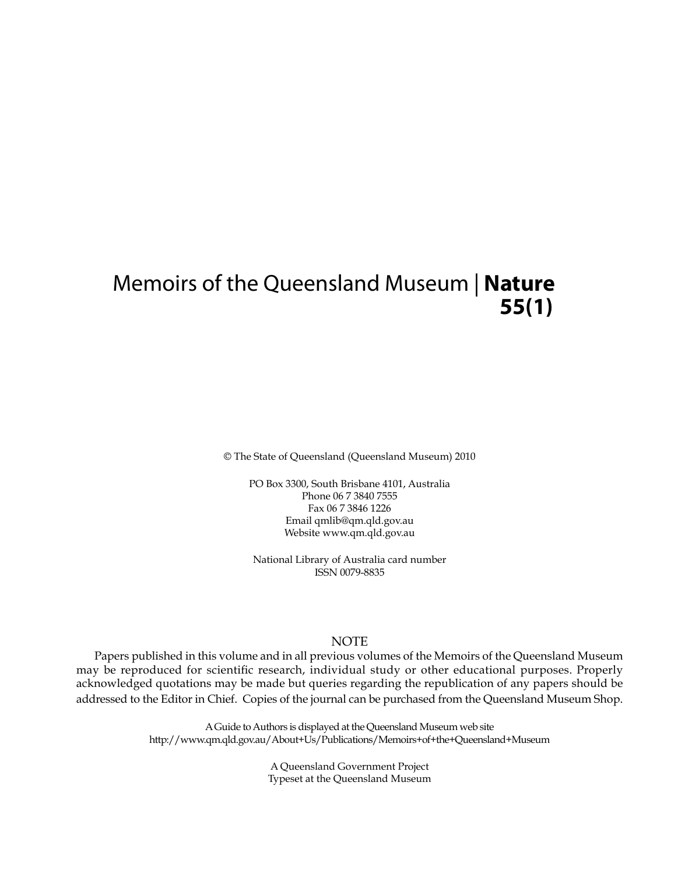# Memoirs of the Queensland Museum | **Nature 55(1)**

© The State of Queensland (Queensland Museum) 2010

PO Box 3300, South Brisbane 4101, Australia Phone 06 7 3840 7555 Fax 06 7 3846 1226 Email qmlib@qm.qld.gov.au Website www.qm.qld.gov.au

National Library of Australia card number ISSN 0079-8835

# NOTE

Papers published in this volume and in all previous volumes of the Memoirs of the Queensland Museum may be reproduced for scientific research, individual study or other educational purposes. Properly acknowledged quotations may be made but queries regarding the republication of any papers should be addressed to the Editor in Chief. Copies of the journal can be purchased from the Queensland Museum Shop.

> A Guide to Authors is displayed at the Queensland Museum web site http://www.qm.qld.gov.au/About+Us/Publications/Memoirs+of+the+Queensland+Museum

> > A Queensland Government Project Typeset at the Queensland Museum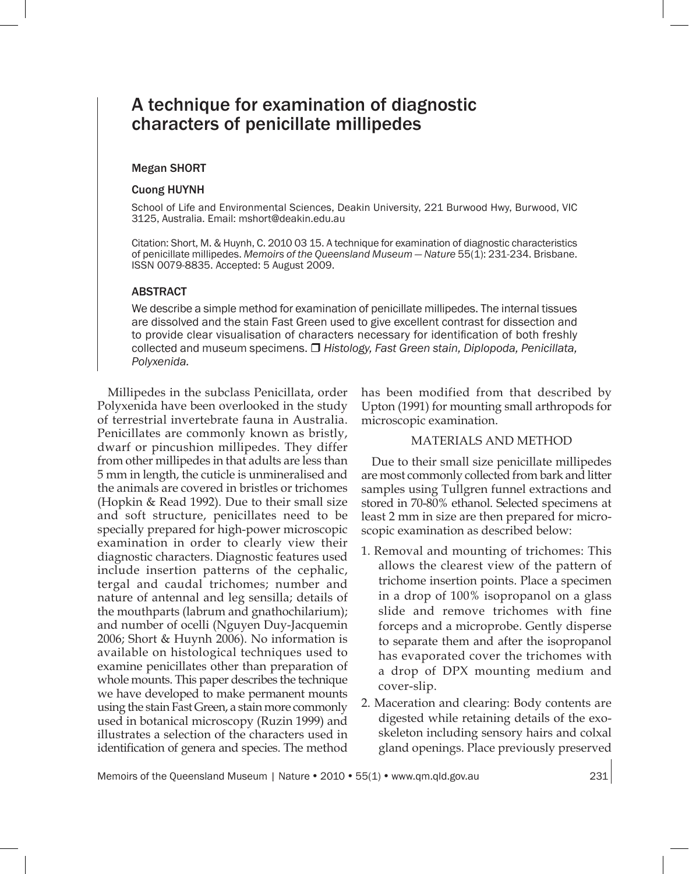# A technique for examination of diagnostic characters of penicillate millipedes

#### Megan SHORT

#### Cuong HUYNH

School of Life and Environmental Sciences, Deakin University, 221 Burwood Hwy, Burwood, VIC 3125, Australia. Email: mshort@deakin.edu.au

Citation: Short, M. & Huynh, C. 2010 03 15. A technique for examination of diagnostic characteristics of penicillate millipedes. *Memoirs of the Queensland Museum — Nature* 55(1): 231-234. Brisbane. ISSN 0079-8835. Accepted: 5 August 2009.

#### ABSTRACT

We describe a simple method for examination of penicillate millipedes. The internal tissues are dissolved and the stain Fast Green used to give excellent contrast for dissection and to provide clear visualisation of characters necessary for identification of both freshly collected and museum specimens. *Histology, Fast Green stain, Diplopoda, Penicillata, Polyxenida.*

Millipedes in the subclass Penicillata, order Polyxenida have been overlooked in the study of terrestrial invertebrate fauna in Australia. Penicillates are commonly known as bristly, dwarf or pincushion millipedes. They differ from other millipedes in that adults are less than 5 mm in length, the cuticle is unmineralised and the animals are covered in bristles or trichomes (Hopkin & Read 1992). Due to their small size and soft structure, penicillates need to be specially prepared for high-power microscopic examination in order to clearly view their diagnostic characters. Diagnostic features used include insertion patterns of the cephalic, tergal and caudal trichomes; number and nature of antennal and leg sensilla; details of the mouthparts (labrum and gnathochilarium); and number of ocelli (Nguyen Duy-Jacquemin 2006; Short & Huynh 2006). No information is available on histological techniques used to examine penicillates other than preparation of whole mounts. This paper describes the technique we have developed to make permanent mounts using the stain Fast Green, a stain more commonly used in botanical microscopy (Ruzin 1999) and illustrates a selection of the characters used in identification of genera and species. The method has been modified from that described by Upton (1991) for mounting small arthropods for microscopic examination.

## MATERIALS AND METHOD

Due to their small size penicillate millipedes are most commonly collected from bark and litter samples using Tullgren funnel extractions and stored in 70-80% ethanol. Selected specimens at least 2 mm in size are then prepared for microscopic examination as described below:

- 1. Removal and mounting of trichomes: This allows the clearest view of the pattern of trichome insertion points. Place a specimen in a drop of 100% isopropanol on a glass slide and remove trichomes with fine forceps and a microprobe. Gently disperse to separate them and after the isopropanol has evaporated cover the trichomes with a drop of DPX mounting medium and cover-slip.
- 2. Maceration and clearing: Body contents are digested while retaining details of the exoskeleton including sensory hairs and colxal gland openings. Place previously preserved

Memoirs of the Queensland Museum | Nature • 2010 • 55(1) • www.qm.qld.gov.au 231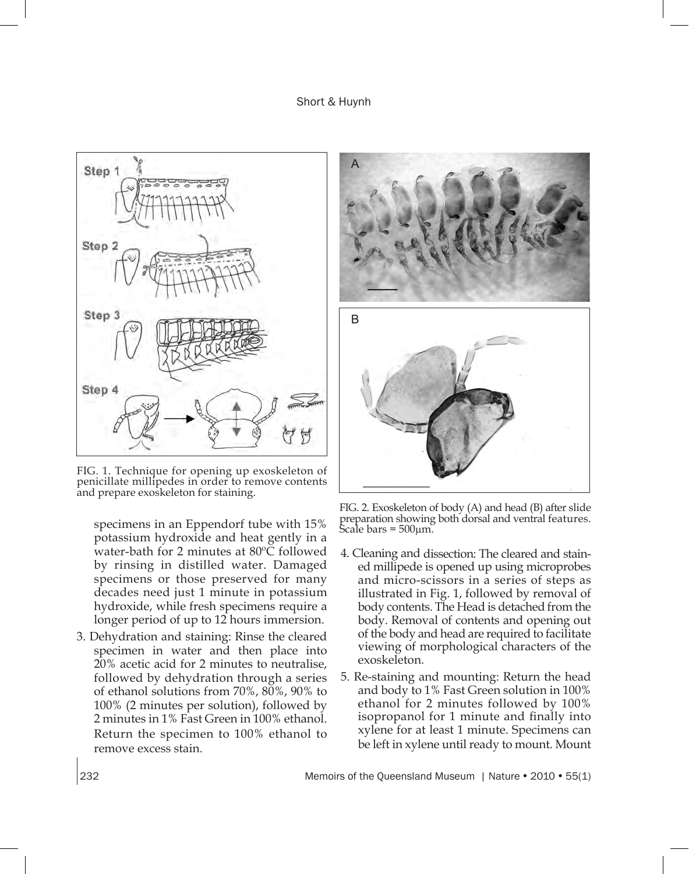Short & Huynh



FIG. 1. Technique for opening up exoskeleton of penicillate millipedes in order to remove contents and prepare exoskeleton for staining.

specimens in an Eppendorf tube with 15% potassium hydroxide and heat gently in a water-bath for 2 minutes at 80ºC followed by rinsing in distilled water. Damaged specimens or those preserved for many decades need just 1 minute in potassium hydroxide, while fresh specimens require a longer period of up to 12 hours immersion.

3. Dehydration and staining: Rinse the cleared specimen in water and then place into 20% acetic acid for 2 minutes to neutralise, followed by dehydration through a series of ethanol solutions from 70%, 80%, 90% to 100% (2 minutes per solution), followed by 2 minutes in 1% Fast Green in 100% ethanol. Return the specimen to 100% ethanol to remove excess stain.



FIG. 2. Exoskeleton of body (A) and head (B) after slide preparation showing both dorsal and ventral features. Scale bars = 500<sup>µ</sup>m.

- 4. Cleaning and dissection: The cleared and stained millipede is opened up using microprobes and micro-scissors in a series of steps as illustrated in Fig. 1, followed by removal of body contents. The Head is detached from the body. Removal of contents and opening out of the body and head are required to facilitate viewing of morphological characters of the exoskeleton.
- 5. Re-staining and mounting: Return the head and body to 1% Fast Green solution in 100% ethanol for 2 minutes followed by 100% isopropanol for 1 minute and finally into xylene for at least 1 minute. Specimens can be left in xylene until ready to mount. Mount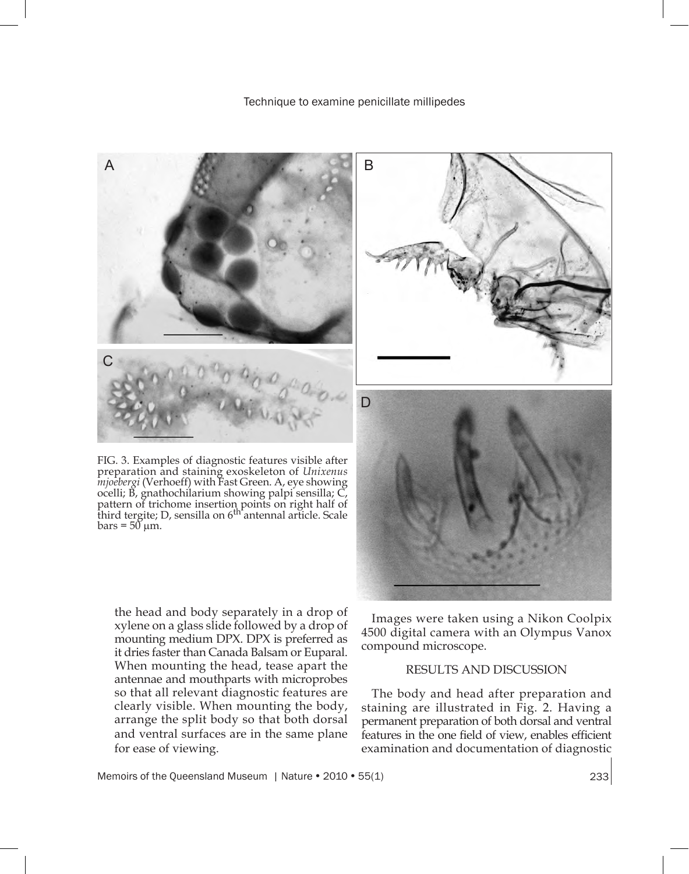

FIG. 3. Examples of diagnostic features visible after preparation and staining exoskeleton of *Unixenus mjoebergi* (Verhoeff) with Fast Green. A, eye showing ocelli; B, gnathochilarium showing palpi sensilla; C, pattern of trichome insertion points on right half of<br>third tergite; D, sensilla on 6<sup>th</sup> antennal article. Scale  $bars = 50 \mu m$ .



the head and body separately in a drop of xylene on a glass slide followed by a drop of mounting medium DPX. DPX is preferred as it dries faster than Canada Balsam or Euparal. When mounting the head, tease apart the antennae and mouthparts with microprobes so that all relevant diagnostic features are clearly visible. When mounting the body, arrange the split body so that both dorsal and ventral surfaces are in the same plane for ease of viewing.

Images were taken using a Nikon Coolpix 4500 digital camera with an Olympus Vanox compound microscope.

# RESULTS AND DISCUSSION

The body and head after preparation and staining are illustrated in Fig. 2. Having a permanent preparation of both dorsal and ventral features in the one field of view, enables efficient examination and documentation of diagnostic

Memoirs of the Queensland Museum | Nature • 2010 • 55(1) 233 233